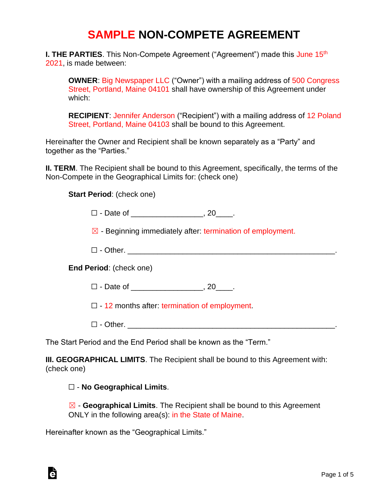## **SAMPLE NON-COMPETE AGREEMENT**

**I. THE PARTIES.** This Non-Compete Agreement ("Agreement") made this June 15<sup>th</sup> 2021, is made between:

**OWNER**: Big Newspaper LLC ("Owner") with a mailing address of 500 Congress Street, Portland, Maine 04101 shall have ownership of this Agreement under which:

**RECIPIENT**: Jennifer Anderson ("Recipient") with a mailing address of 12 Poland Street, Portland, Maine 04103 shall be bound to this Agreement.

Hereinafter the Owner and Recipient shall be known separately as a "Party" and together as the "Parties."

**II. TERM**. The Recipient shall be bound to this Agreement, specifically, the terms of the Non-Compete in the Geographical Limits for: (check one)

**Start Period**: (check one)

 $\Box$  - Date of  $\Box$  . 20  $\Box$ .

 $\boxtimes$  - Beginning immediately after: termination of employment.

 $\Box$  - Other.

**End Period**: (check one)

 $\Box$  - Date of  $\Box$  . 20

☐ - 12 months after: termination of employment.

 $\Box$  - Other.

The Start Period and the End Period shall be known as the "Term."

**III. GEOGRAPHICAL LIMITS**. The Recipient shall be bound to this Agreement with: (check one)

## ☐ - **No Geographical Limits**.

☒ - **Geographical Limits**. The Recipient shall be bound to this Agreement ONLY in the following area(s): in the State of Maine.

Hereinafter known as the "Geographical Limits."

Ġ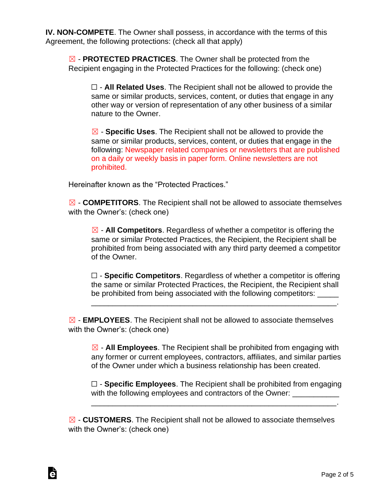**IV. NON-COMPETE**. The Owner shall possess, in accordance with the terms of this Agreement, the following protections: (check all that apply)

☒ - **PROTECTED PRACTICES**. The Owner shall be protected from the Recipient engaging in the Protected Practices for the following: (check one)

☐ - **All Related Uses**. The Recipient shall not be allowed to provide the same or similar products, services, content, or duties that engage in any other way or version of representation of any other business of a similar nature to the Owner.

☒ - **Specific Uses**. The Recipient shall not be allowed to provide the same or similar products, services, content, or duties that engage in the following: Newspaper related companies or newsletters that are published on a daily or weekly basis in paper form. Online newsletters are not prohibited.

Hereinafter known as the "Protected Practices."

Ġ

☒ - **COMPETITORS**. The Recipient shall not be allowed to associate themselves with the Owner's: (check one)

☒ - **All Competitors**. Regardless of whether a competitor is offering the same or similar Protected Practices, the Recipient, the Recipient shall be prohibited from being associated with any third party deemed a competitor of the Owner.

☐ - **Specific Competitors**. Regardless of whether a competitor is offering the same or similar Protected Practices, the Recipient, the Recipient shall be prohibited from being associated with the following competitors:

\_\_\_\_\_\_\_\_\_\_\_\_\_\_\_\_\_\_\_\_\_\_\_\_\_\_\_\_\_\_\_\_\_\_\_\_\_\_\_\_\_\_\_\_\_\_\_\_\_\_\_\_\_\_\_\_\_\_.

☒ - **EMPLOYEES**. The Recipient shall not be allowed to associate themselves with the Owner's: (check one)

☒ - **All Employees**. The Recipient shall be prohibited from engaging with any former or current employees, contractors, affiliates, and similar parties of the Owner under which a business relationship has been created.

☐ - **Specific Employees**. The Recipient shall be prohibited from engaging with the following employees and contractors of the Owner: \_\_\_\_\_\_

\_\_\_\_\_\_\_\_\_\_\_\_\_\_\_\_\_\_\_\_\_\_\_\_\_\_\_\_\_\_\_\_\_\_\_\_\_\_\_\_\_\_\_\_\_\_\_\_\_\_\_\_\_\_\_\_\_\_.

☒ - **CUSTOMERS**. The Recipient shall not be allowed to associate themselves with the Owner's: (check one)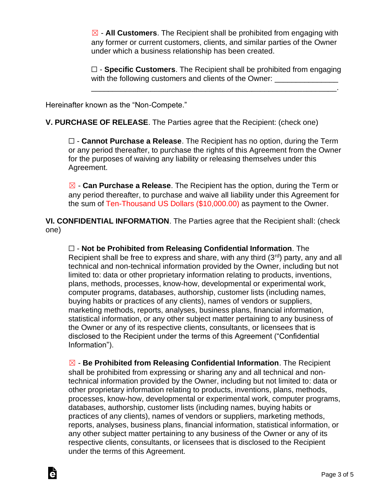☒ - **All Customers**. The Recipient shall be prohibited from engaging with any former or current customers, clients, and similar parties of the Owner under which a business relationship has been created.

☐ - **Specific Customers**. The Recipient shall be prohibited from engaging with the following customers and clients of the Owner:

\_\_\_\_\_\_\_\_\_\_\_\_\_\_\_\_\_\_\_\_\_\_\_\_\_\_\_\_\_\_\_\_\_\_\_\_\_\_\_\_\_\_\_\_\_\_\_\_\_\_\_\_\_\_\_\_\_\_.

Hereinafter known as the "Non-Compete."

**V. PURCHASE OF RELEASE**. The Parties agree that the Recipient: (check one)

☐ - **Cannot Purchase a Release**. The Recipient has no option, during the Term or any period thereafter, to purchase the rights of this Agreement from the Owner for the purposes of waiving any liability or releasing themselves under this Agreement.

☒ - **Can Purchase a Release**. The Recipient has the option, during the Term or any period thereafter, to purchase and waive all liability under this Agreement for the sum of Ten-Thousand US Dollars (\$10,000.00) as payment to the Owner.

**VI. CONFIDENTIAL INFORMATION**. The Parties agree that the Recipient shall: (check one)

☐ - **Not be Prohibited from Releasing Confidential Information**. The Recipient shall be free to express and share, with any third  $(3<sup>rd</sup>)$  party, any and all technical and non-technical information provided by the Owner, including but not limited to: data or other proprietary information relating to products, inventions, plans, methods, processes, know-how, developmental or experimental work, computer programs, databases, authorship, customer lists (including names, buying habits or practices of any clients), names of vendors or suppliers, marketing methods, reports, analyses, business plans, financial information, statistical information, or any other subject matter pertaining to any business of the Owner or any of its respective clients, consultants, or licensees that is disclosed to the Recipient under the terms of this Agreement ("Confidential Information").

☒ - **Be Prohibited from Releasing Confidential Information**. The Recipient shall be prohibited from expressing or sharing any and all technical and nontechnical information provided by the Owner, including but not limited to: data or other proprietary information relating to products, inventions, plans, methods, processes, know-how, developmental or experimental work, computer programs, databases, authorship, customer lists (including names, buying habits or practices of any clients), names of vendors or suppliers, marketing methods, reports, analyses, business plans, financial information, statistical information, or any other subject matter pertaining to any business of the Owner or any of its respective clients, consultants, or licensees that is disclosed to the Recipient under the terms of this Agreement.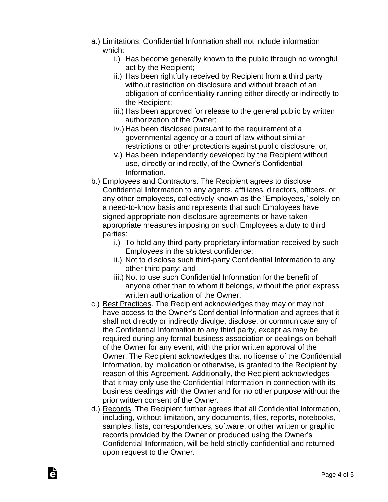- a.) Limitations. Confidential Information shall not include information which:
	- i.) Has become generally known to the public through no wrongful act by the Recipient;
	- ii.) Has been rightfully received by Recipient from a third party without restriction on disclosure and without breach of an obligation of confidentiality running either directly or indirectly to the Recipient;
	- iii.) Has been approved for release to the general public by written authorization of the Owner;
	- iv.) Has been disclosed pursuant to the requirement of a governmental agency or a court of law without similar restrictions or other protections against public disclosure; or,
	- v.) Has been independently developed by the Recipient without use, directly or indirectly, of the Owner's Confidential Information.
- b.) Employees and Contractors. The Recipient agrees to disclose Confidential Information to any agents, affiliates, directors, officers, or any other employees, collectively known as the "Employees," solely on a need-to-know basis and represents that such Employees have signed appropriate non-disclosure agreements or have taken appropriate measures imposing on such Employees a duty to third parties:
	- i.) To hold any third-party proprietary information received by such Employees in the strictest confidence;
	- ii.) Not to disclose such third-party Confidential Information to any other third party; and
	- iii.) Not to use such Confidential Information for the benefit of anyone other than to whom it belongs, without the prior express written authorization of the Owner.
- c.) Best Practices. The Recipient acknowledges they may or may not have access to the Owner's Confidential Information and agrees that it shall not directly or indirectly divulge, disclose, or communicate any of the Confidential Information to any third party, except as may be required during any formal business association or dealings on behalf of the Owner for any event, with the prior written approval of the Owner. The Recipient acknowledges that no license of the Confidential Information, by implication or otherwise, is granted to the Recipient by reason of this Agreement. Additionally, the Recipient acknowledges that it may only use the Confidential Information in connection with its business dealings with the Owner and for no other purpose without the prior written consent of the Owner.
- d.) Records. The Recipient further agrees that all Confidential Information, including, without limitation, any documents, files, reports, notebooks, samples, lists, correspondences, software, or other written or graphic records provided by the Owner or produced using the Owner's Confidential Information, will be held strictly confidential and returned upon request to the Owner.